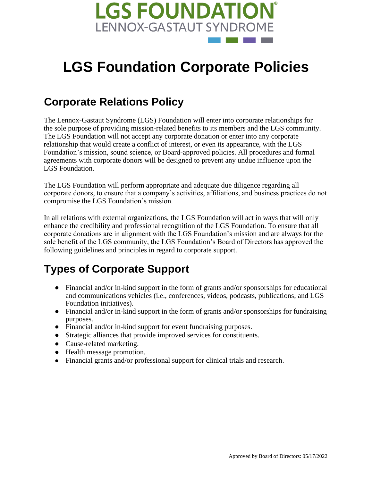

# **LGS Foundation Corporate Policies**

### **Corporate Relations Policy**

The Lennox-Gastaut Syndrome (LGS) Foundation will enter into corporate relationships for the sole purpose of providing mission-related benefits to its members and the LGS community. The LGS Foundation will not accept any corporate donation or enter into any corporate relationship that would create a conflict of interest, or even its appearance, with the LGS Foundation's mission, sound science, or Board-approved policies. All procedures and formal agreements with corporate donors will be designed to prevent any undue influence upon the LGS Foundation.

The LGS Foundation will perform appropriate and adequate due diligence regarding all corporate donors, to ensure that a company's activities, affiliations, and business practices do not compromise the LGS Foundation's mission.

In all relations with external organizations, the LGS Foundation will act in ways that will only enhance the credibility and professional recognition of the LGS Foundation. To ensure that all corporate donations are in alignment with the LGS Foundation's mission and are always for the sole benefit of the LGS community, the LGS Foundation's Board of Directors has approved the following guidelines and principles in regard to corporate support.

## **Types of Corporate Support**

- Financial and/or in-kind support in the form of grants and/or sponsorships for educational and communications vehicles (i.e., conferences, videos, podcasts, publications, and LGS Foundation initiatives).
- Financial and/or in-kind support in the form of grants and/or sponsorships for fundraising purposes.
- Financial and/or in-kind support for event fundraising purposes.
- Strategic alliances that provide improved services for constituents.
- Cause-related marketing.
- Health message promotion.
- Financial grants and/or professional support for clinical trials and research.